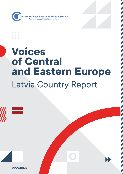

 $\blacksquare$ 

## **Voices of Central and Eastern Europe** Latvia Country Report

The state of the state of the state of the state of the state of the state of the state of the state of the state of



**www.appc.lv**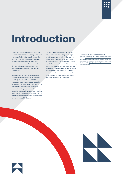# **Introduction**

Though conspiracy theories are not a new phenomenon, they have growing pertinence in an age of information overload. Members of society can now choose their preferred outlet for news unhindered. Blind trust in one-sided sources, in turn, can lead to detrimental consequences when these sources disseminate misinformation and conspiracies.

Misinformation and conspiracy theories are widely employed as tools to influence public opinion and often specifically to manipulate attitudes on critical topics like democracy, the political elite and numerous social issues in different countries and regions. Certain groups in society are more receptive to misleading information, leading some malign actors to exploit them to diffuse misinformation and conspiratorial narratives to pursue geopolitical goals.

Turning to the case of Latvia, Russia has played a major role in taking advantage of Latvia's complex media environment to spread misinformation narratives aiming to polarise society and undermine Latvia's capabilities as a state.<sup>1</sup> Against this backdrop, with a view towards protecting democracy over the long-term, there is a need to better understand the prevalence and salience of disinformation and conspiracy theories in Latvia and the vulnerability of different groups in society to this information.

1 "Russia's Footprint in the Nordic-Baltic Information Environment 2019/2020", NATO Stratcom Centre of Excellence, Available: [https://www.stratcomcoe.org/russias-footprint-nordic](https://www.stratcomcoe.org/russias-footprint-nordic-baltic-information-environment-20192020)[baltic-information-environment-20192020](https://www.stratcomcoe.org/russias-footprint-nordic-baltic-information-environment-20192020); Mārcis Balodis, "Why is Latvia called a failed state? ", Centre for East European Policy Studies", Available: [https://appc.lv/eng/m-balodis-why-is-latvia](https://appc.lv/eng/m-balodis-why-is-latvia-called-a-failed-state/)[called-a-failed-state/](https://appc.lv/eng/m-balodis-why-is-latvia-called-a-failed-state/)



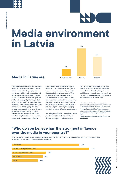

### **Media environment in Latvia 47%**



Playing a pivotal role in informing the public, the Latvian media ecosystem is a complex one produced in two languages, Latvian and Russian. A 2018 study revealed that 62 percent of the population speaks Latvian at home, 37 percent Russian and 1 percent a different language. By ethnicity, similarly, 62 percent are Latvian, 31 percent Russian, Belarusian, or Ukrainian and 7 percent other minorities.2 Russian language content, notably, is generated by a range of different outlets, some based in Latvia, others in EU countries and many in Russia. Those outlets coming from Russia can be further categorized into two groups: 1) Russian

state media oriented towards backing the official position of the Kremlin and 2) those (e.g. Meduza) not controlled by the state that abide by journalistic standards.<sup>3</sup> The difference between media available in Latvian and Russian rests both in content and target audience. Latvian speakers report primarily consuming media content in their native language, whereas Russian speakers indicate a higher propensity for engaging with both Latvian and Russian media spaces.<sup>4</sup>

According to a GLOBSEC survey<sup>5</sup>, 58 percent of Latvians trust mainstream outlets and 59 percent judge the media to be either

completely free or rather free. A total of 47 percent of Latvians, meanwhile, believe that the media is controlled by the government and 54 percent that oligarchs and prominent financial groups exert a powerful influence on mainstream media in the country.

2 "The Influence of Russia in Latvia's Information Space. Synthesis report. [Report in Latvian]", Saeima of the Republic of Latvia, 2018, Available: [https://www.saeima.lv/petijumi/Krievijas\\_](https://www.saeima.lv/petijumi/Krievijas_ietekme_Latvijas_informativaja_telpa_elektroniski.pdf) ietekme Latvijas informativaja telpa elektroniski.pdf "Media Market Risk Raitngs: Latvia", Global Disinformation Index, 2020, Available: [http://appc.lv/eng/wp-content/uploads/](http://appc.lv/eng/wp-content/uploads/sites/2/2020/10/Latvia-Risk-Ratings-Report-ENG.pdf) [sites/2/2020/10/Latvia-Risk-Ratings-Report-ENG.pdf](http://appc.lv/eng/wp-content/uploads/sites/2/2020/10/Latvia-Risk-Ratings-Report-ENG.pdf) 4 Ibid.

<sup>5</sup> [https://www.globsec.org/publications/voices-of-central-and](https://www.globsec.org/publications/voices-of-central-and-eastern-europe/)[eastern-europe/](https://www.globsec.org/publications/voices-of-central-and-eastern-europe/)

#### **"Who do you believe has the strongest influence over the media in your country?"**

(The question was asked only to those who responded that the media is rather free or unfree in their country but the results were re-tabulated to include the entire sample of respondents.)

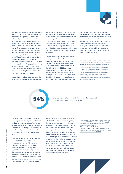Oligarchy particularly stands out as a strong reason for distrust in power and media. Since the national independence in 1991, three of Latvian oligarchs stand out: former Ventspils Mayor Aivars Lembergs, former leader of People's Party Andris Skele and leader of former political association LPP / LC Ainars Slesers. Their influence on Latvian voters has been significant, reaffirming the belief that the political system in Latvia reflects interests of specific individuals, rather than public.6 By definition, only Ainars Lembergs currently fits the criteria of an oligarch including power over the media and political and economic sway.<sup>7</sup> Though oligarchs were primarily confined to the 1990s and early 2000s, a segment of society is prone to still labelling the existing Latvian political elite as a continuing remnant of the past.

Distrust in the media and adherence to the belief that the media is not completely free is associated with a lack of trust in government and democracy in general. Only 36 percent of respondents are indeed satisfied with the functioning of democracy in Latvia even as 78 percent are satisfied with their own lives. Those holding these views could be more susceptible to believing that the media is controlled by the government, which, in turn, is argued to pay little heed to the concerns of citizens.

Despite Latvia's rapid democratic transition, participation in political affairs remains low. Based on data collected by the Central Election Commission, voter turnout has seen consistent annual declines for more than 20 years.<sup>8</sup> Only 54.60 percent of eligible voters, in fact, went to the polls for elections this year, the lowest level of participation in 25 years.<sup>9</sup> While there is no definitive evidence on why specific voter groups elect not to participate in elections,

it can be deduced that these voters likely feel alienated from government and political parties and institutions. The same is true with respect to direct participation in democracy including citizen- and government-initiated referendums. Disaffected members of society are associated with the sentiment that change is impossible and a lack of faith and trust in government officials working on behalf of the public good.

<sup>6</sup> Una Bergmane, "The Three Little Oligarchs: Latvia's Corruption Scandal," 2017, Availabe: [https://www.fpri.org/article/2017/11/](https://www.fpri.org/article/2017/11/three-little-oligarchs-latvias-corruption-scandal/) [three-little-oligarchs-latvias-corruption-scandal/](https://www.fpri.org/article/2017/11/three-little-oligarchs-latvias-corruption-scandal/)  $\sigma$  Guntars Laganovskis, "Kas tie par oligarhiem?" 27.07.2011. Latvijas Portāls, Availabe: [https://lvportals.lv/norises/233676](https://lvportals.lv/norises/233676-kas-tie-par-oligarhiem-2011) [kas-tie-par-oligarhiem-2011](https://lvportals.lv/norises/233676-kas-tie-par-oligarhiem-2011)

8 The only exception was the 10th Saeima (Parliamentary) elections in 2010, when turnout increased by 2.1 percent compared to 2006.

9 Centrālā vēlēšanu komisija, "Vēlētāju skaits", [https://www.cvk.](https://www.cvk.lv/lv/velesanas/veletaju-skaits) [lv/lv/velesanas/veletaju-skaits](https://www.cvk.lv/lv/velesanas/veletaju-skaits).

of Latvians believe that who holds the power in the government does not matter, since nothing will change.

It is, furthermore, noteworthy that a new wave of populism has impacted Latvia. In the 2018 parliamentary elections, for example, populist parties ran on slogans that called on voters to join the struggle against a corrupt and deceitful government that works for its own interests rather than those of the public.10

One popular slogan that was propagated also targeted the role of the EU in policymaking in Latvia – "Brussels has instigated the collapse of the Latvian industrial economy".<sup>11</sup> This argument especially features prominently in Russian disinformation campaigns promulgated in the media that aim to reduce confidence in the EU. The bloc, these narratives assert, is to blame for unemployment, poverty and mass emigration of the population away

from Latvia. The claims, moreover, hold that NATO and the US are being employed by the Latvian government as a strategic ploy against Moscow. These conspiracy theories are, nonetheless, rather consistent with recurring pro-Kremlin narratives that pit Russia against an "Evil West". The spread of these conspiracies has become a daily part of Russian targeted disinformation operations in Latvia. Combined with rising populism and day to day challenges in the EU (witnessed most recently with the COVID-19 crisis), people can easily fall prey to these false statements and become victims of Russian disinformation that aims to divide Latvian society and destabilise the country.

10 Andis Kudors, "Mediji un populisms – izpratne, mijiedarbība un attieksme," 21.08.2018. Latvijas Portāls, Available: [https://](https://lvportals.lv/norises/297976-mediji-un-populisms-izpratne-mijiedarbiba-un-attieksme-2018) [lvportals.lv/norises/297976-mediji-un-populisms-izpratne](https://lvportals.lv/norises/297976-mediji-un-populisms-izpratne-mijiedarbiba-un-attieksme-2018)[mijiedarbiba-un-attieksme-2018](https://lvportals.lv/norises/297976-mediji-un-populisms-izpratne-mijiedarbiba-un-attieksme-2018)

11 "Russia's Footprint in the Nordic-Baltic Information Environment 2019/2020", NATO Stratcom Centre of Excellence, Available: [https://www.stratcomcoe.org/russias-footprint-nordic](https://www.stratcomcoe.org/russias-footprint-nordic-baltic-information-environment-20192020)[baltic-information-environment-20192020](https://www.stratcomcoe.org/russias-footprint-nordic-baltic-information-environment-20192020)

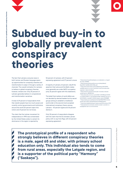subdued buy-in to globally prevalent conspiracy theories **Subdued buy-in to globally prevalent conspiracy theories**

### **Subdued buy-in to globally prevalent conspiracy theories**

The fact that Latvians consume news in both Latvian and Russian language opens up opportunities for conspiracy theories and misinformation to seep in through a variety of channels. The overall inclination for Latvians to believe in global conspiracy theories, however, remains low. Only 25 percent of Latvians generally believe in conspiratorial and misinformation narratives.

A total of 29 percent of respondents think that Jewish people have too much power and covertly control governments and institutions around the world (51 percent reject this notion and 21 percent do not know).

The claim that the Latvian movement for independence in 1990 was orchestrated by the United States solely to cement its dominance in the region is rejected by

**("Saskaņa").** 

52 percent of Latvians, with 21 percent expressing agreement and 27 percent unsure.

A majority of Latvians, 61 percent, rebuff the assertion that Latvia and the Baltic states more generally are under NATO occupation (only 26 percent agree with this statement).

The belief that matters of world affairs are not decided by elected leaders but by secret groups aiming to establish a totalitarian world order is the second most accepted international conspiracy theory among Latvians – 43 percent agree and 36 percent dismiss it.

Only 30 percent of respondents disagree with the claim that the EU dictates Latvian policy with no say from Riga, with 63 percent expressing agreement.

8 https://www.zf.ro/politica/basescu-se-razboieste-cu-moguliide-presa-3044182

9 https://reutersinstitute.politics.ox.ac.uk/sites/default/ files/2020-06/DNR\_2020\_FINAL.pdf

10 https://www.wall-street.ro/articol/Marketing-PR/176099/

mediafax-group-si-a-cerut-insolventa-trustul-de-presa-esteinglodat-in-datorii.html#gref

11 https://www.b1.ro/stiri/economic/dan-voiculescu-blocarevanzare-grivco-280983.html

<sup>12</sup> https://www.dw.com/ro/o-nou%C4%83-%C8%9Beap%C4%83 tv-posibil%C4%83-cu-gu%C8%99%C4%83-realitatea-plus-pe-ofirm%C4%83-cu-pierderi-%C8%99i-datorii-mari/a-51035885 <sup>13</sup> https://cadmus.eui.eu/bitstream/handle/1814/67815/romania\_ results\_mpm\_2020\_cmpf.pdf?sequence=1&isAllowed=y <sup>14</sup> https://www.digitalnewsreport.org/survey/2019/romania-2019/ 15 https://pressone.ro/romania-colonia-europei-o-poveste-cupropaganda-care-nu-se-mai-termina

**The prototypical profile of a respondent who strongly believes in different conspiracy theories is a male, aged 65 and older, with primary school education only. This individual also tends to come from rural areas, especially the Latgale region, and is a supporter of the political party "Harmony"**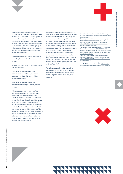Latgale shares a border with Russia, with most residents of the region's largest cities – Rezekne and Daugavpils – Russian speakers at home. They largely consume information from Russian media outlets and vote for the political party "Harmony" that has previously been linked to Moscow.12 This sub-group is vulnerable to misinformation and conspiracy theories that are brought in directly from Russia and the Kremlin.

Four central narratives can be identified as emanating from pro-Kremlin oriented media outlets:

1) Latvia as a failed state (unstable economy and social system);

2) Latvia as an undemocratic state (oppression of non-citizens, nationalist regime; the political elite does not take society into account);

3) Latvia as a "Western puppet state" (Brussels and Washington broadly dictate policy);

4) Russia as a pragmatic and beneficial partner that provides all the advantages needed for Latvia. Examples of these narratives from 2020 included accusations by pro–Kremlin media outlets that the Latvian government was guilty of Russophobia<sup>13</sup> due to the implementation of U.S. sanctions against a Latvian politician notorious for his pro-Russian and anti-NATO sentiment. The pandemic provided an additional opportunity for the Russian media to target the country, witness reports declaring that the Latvian medical system is weak<sup>14</sup> and the virus itself designed by Latvian scientists.<sup>15</sup>

Deceptive information disseminated by the pro-Kremlin oriented media and internet trolls in Latvia is both a threat to democracy and national security. This manipulation equates to interference in Latvian democracy, with voters mobilized to be sceptical that Latvian politicians are working in their interest and instead turn to parties that are either populist or pro–Kremlin. Although Russia was not an active participant in the 2018 Latvian parliamentary elections nor did it lead a disinformation campaign during the election period itself, Moscow had already inflicted damage during the four years preceding the casting of ballots.<sup>16</sup>

These Russian disinformation narratives underscore the fact that even as Latvians eschew global conspiracy theories, those that are regional in orientation may still resonate.

12 Leonid Ragozin, Sanita Jemberga, "Muscles Of Harmony," 31.05.2018. RE: Baltica, Available: [https://en.rebaltica.lv/2018/05/](https://en.rebaltica.lv/2018/05/muscles-of-harmony/ ) [muscles-of-harmony/](https://en.rebaltica.lv/2018/05/muscles-of-harmony/ ) 

,<br>Влександр Носович, "Получите, что заслужили: русофобия « погубила транзитную отрасль Латвии", 13.02.2020. RUBALTIC.RU, [https://www.rubaltic.ru/article/ekonomika-](https://www.rubaltic.ru/article/ekonomika-i-biznes/13022020-poluchite-chto-zasluzhili-rusofobiya-pog)

[i-biznes/13022020-poluchite-chto-zasluzhili-rusofobiya](https://www.rubaltic.ru/article/ekonomika-i-biznes/13022020-poluchite-chto-zasluzhili-rusofobiya-pog)[pogubila-tranzitnuyu-otrasl-latvii/](https://www.rubaltic.ru/article/ekonomika-i-biznes/13022020-poluchite-chto-zasluzhili-rusofobiya-pog).

<sup>14</sup> "Денег мало, умирают рано: Еврокомиссия вновь указала Латвии на бедность медицины," 02.06.2020. lv.Sputniknews.ru, Available: [https://lv.sputniknews.ru/Latvia/20200602/13831363/](https://lv.sputniknews.ru/Latvia/20200602/13831363/Deneg-malo-umirayut-rano-Evrokomissiya-vnov-ukaza) [Deneg-malo-umirayut-rano-Evrokomissiya-vnov-ukazala-Latvii](https://lv.sputniknews.ru/Latvia/20200602/13831363/Deneg-malo-umirayut-rano-Evrokomissiya-vnov-ukaza)[na-bednost-meditsinyj.html](https://lv.sputniknews.ru/Latvia/20200602/13831363/Deneg-malo-umirayut-rano-Evrokomissiya-vnov-ukaza)

<sup>15</sup> "Коронавирус изобрели в Латвии? А почему бы и нет," 15.03.2020. lv.Sputniknews.ru, Available: [https://lv.sputniknews.](https://lv.sputniknews.ru/Latvia/20200315/13379140/Koronavirus-izobreli-v-Latvii-A-pochemu-by-i-net.) [ru/Latvia/20200315/13379140/Koronavirus-izobreli-v-Latvii-A](https://lv.sputniknews.ru/Latvia/20200315/13379140/Koronavirus-izobreli-v-Latvii-A-pochemu-by-i-net.)[pochemu-by-i-net.html](https://lv.sputniknews.ru/Latvia/20200315/13379140/Koronavirus-izobreli-v-Latvii-A-pochemu-by-i-net.) 

 $^{\circ}$  Andis Kudors, "Krievijas dezinformācija un reakcija uz to 2018. gadā," 10.01.2019. Latvijas Portāls, Available: [https://lvportals.](https://lvportals.lv/norises/301246-krievijas-dezinformacija-un-reakcija-uz-to-2018-gada-2019) [lv/norises/301246-krievijas-dezinformacija-un-reakcija-uz-to-](https://lvportals.lv/norises/301246-krievijas-dezinformacija-un-reakcija-uz-to-2018-gada-2019)[2018-gada-2019](https://lvportals.lv/norises/301246-krievijas-dezinformacija-un-reakcija-uz-to-2018-gada-2019)





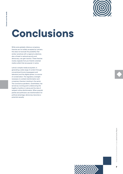

## **Conclusions**

While some globally infamous conspiracy theories are not widely accepted by Latvians, this does not exclude the possibility that similar narratives with a regional undertone, also a threat to national security and democracy, can gain traction. These theories mostly originate from pro-Kremlin oriented media outlets that are popular in Latvia.

Latvia's complex media ecosystem, in generating a wide range of content through conventional forums (newspapers and television) and the digital sphere, is a source of consternation. The regulatory oversight necessary to combat misinformation and conspiracy theories is lacking in the sector. The coronavirus pandemic, nevertheless, has served as a turning point underscoring the fragility of politics in Latvia and the risks of rampant online disinformation. When populist parties and politicians use misinformation for political advantage, democracy becomes a potential casualty

 $\overline{z}$